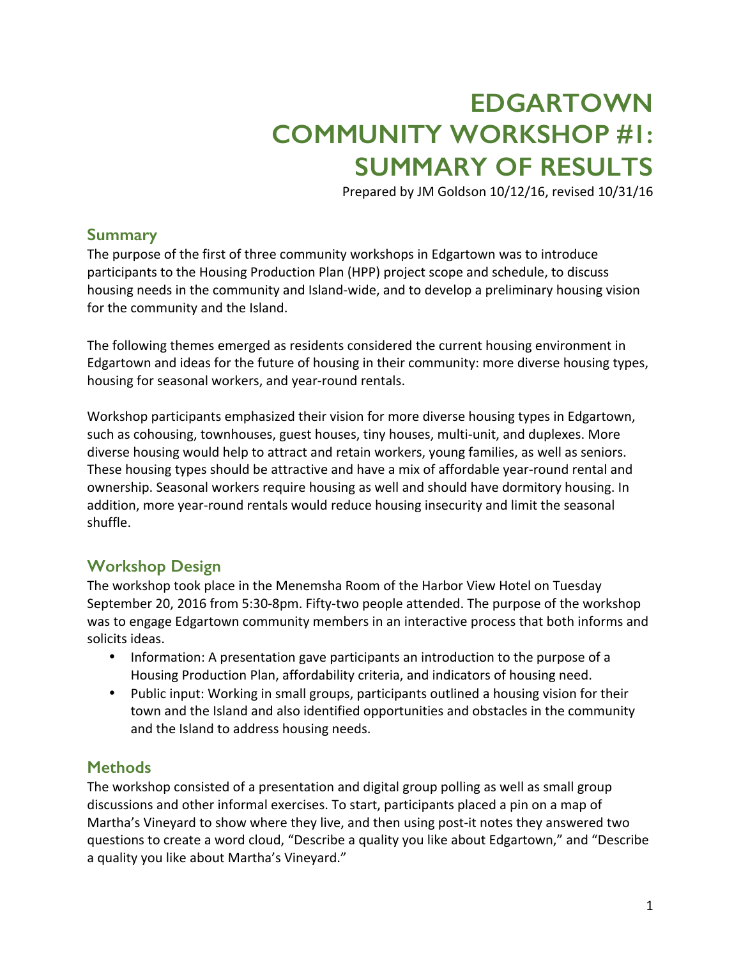# **EDGARTOWN COMMUNITY WORKSHOP #1: SUMMARY OF RESULTS**

Prepared by JM Goldson 10/12/16, revised 10/31/16

### **Summary**

The purpose of the first of three community workshops in Edgartown was to introduce participants to the Housing Production Plan (HPP) project scope and schedule, to discuss housing needs in the community and Island-wide, and to develop a preliminary housing vision for the community and the Island.

The following themes emerged as residents considered the current housing environment in Edgartown and ideas for the future of housing in their community: more diverse housing types, housing for seasonal workers, and year-round rentals.

Workshop participants emphasized their vision for more diverse housing types in Edgartown, such as cohousing, townhouses, guest houses, tiny houses, multi-unit, and duplexes. More diverse housing would help to attract and retain workers, young families, as well as seniors. These housing types should be attractive and have a mix of affordable year-round rental and ownership. Seasonal workers require housing as well and should have dormitory housing. In addition, more year-round rentals would reduce housing insecurity and limit the seasonal shuffle. 

### **Workshop Design**

The workshop took place in the Menemsha Room of the Harbor View Hotel on Tuesday September 20, 2016 from 5:30-8pm. Fifty-two people attended. The purpose of the workshop was to engage Edgartown community members in an interactive process that both informs and solicits ideas.

- Information: A presentation gave participants an introduction to the purpose of a Housing Production Plan, affordability criteria, and indicators of housing need.
- Public input: Working in small groups, participants outlined a housing vision for their town and the Island and also identified opportunities and obstacles in the community and the Island to address housing needs.

### **Methods**

The workshop consisted of a presentation and digital group polling as well as small group discussions and other informal exercises. To start, participants placed a pin on a map of Martha's Vineyard to show where they live, and then using post-it notes they answered two questions to create a word cloud, "Describe a quality you like about Edgartown," and "Describe a quality you like about Martha's Vineyard."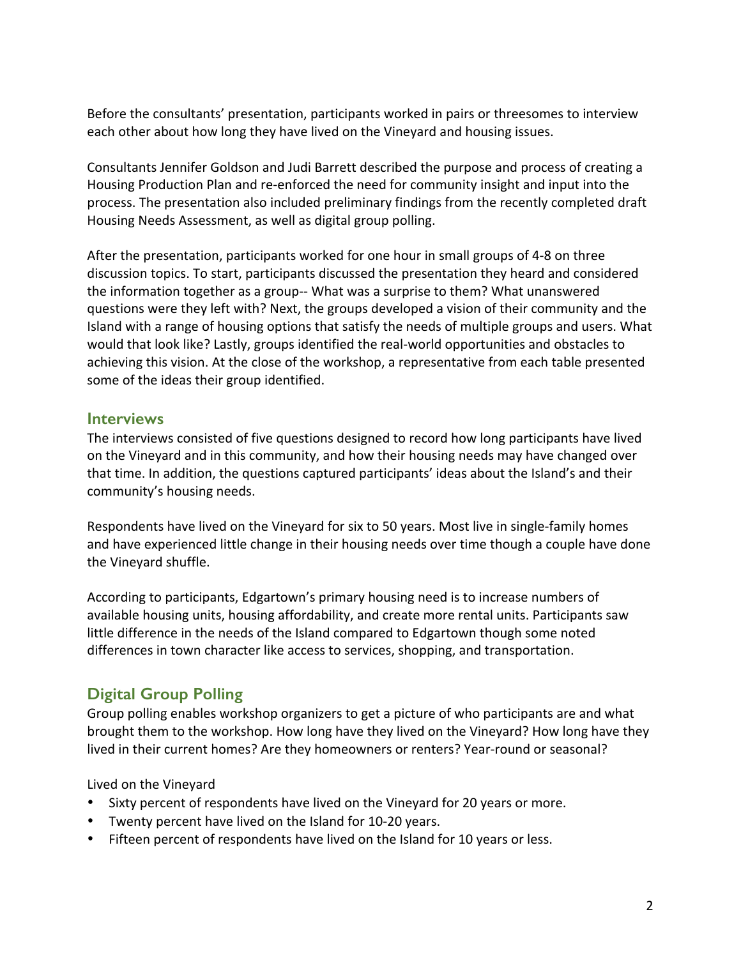Before the consultants' presentation, participants worked in pairs or threesomes to interview each other about how long they have lived on the Vineyard and housing issues.

Consultants Jennifer Goldson and Judi Barrett described the purpose and process of creating a Housing Production Plan and re-enforced the need for community insight and input into the process. The presentation also included preliminary findings from the recently completed draft Housing Needs Assessment, as well as digital group polling.

After the presentation, participants worked for one hour in small groups of 4-8 on three discussion topics. To start, participants discussed the presentation they heard and considered the information together as a group-- What was a surprise to them? What unanswered questions were they left with? Next, the groups developed a vision of their community and the Island with a range of housing options that satisfy the needs of multiple groups and users. What would that look like? Lastly, groups identified the real-world opportunities and obstacles to achieving this vision. At the close of the workshop, a representative from each table presented some of the ideas their group identified.

### **Interviews**

The interviews consisted of five questions designed to record how long participants have lived on the Vineyard and in this community, and how their housing needs may have changed over that time. In addition, the questions captured participants' ideas about the Island's and their community's housing needs.

Respondents have lived on the Vineyard for six to 50 years. Most live in single-family homes and have experienced little change in their housing needs over time though a couple have done the Vineyard shuffle.

According to participants, Edgartown's primary housing need is to increase numbers of available housing units, housing affordability, and create more rental units. Participants saw little difference in the needs of the Island compared to Edgartown though some noted differences in town character like access to services, shopping, and transportation.

## **Digital Group Polling**

Group polling enables workshop organizers to get a picture of who participants are and what brought them to the workshop. How long have they lived on the Vineyard? How long have they lived in their current homes? Are they homeowners or renters? Year-round or seasonal?

Lived on the Vineyard

- Sixty percent of respondents have lived on the Vineyard for 20 years or more.
- Twenty percent have lived on the Island for 10-20 years.
- Fifteen percent of respondents have lived on the Island for 10 years or less.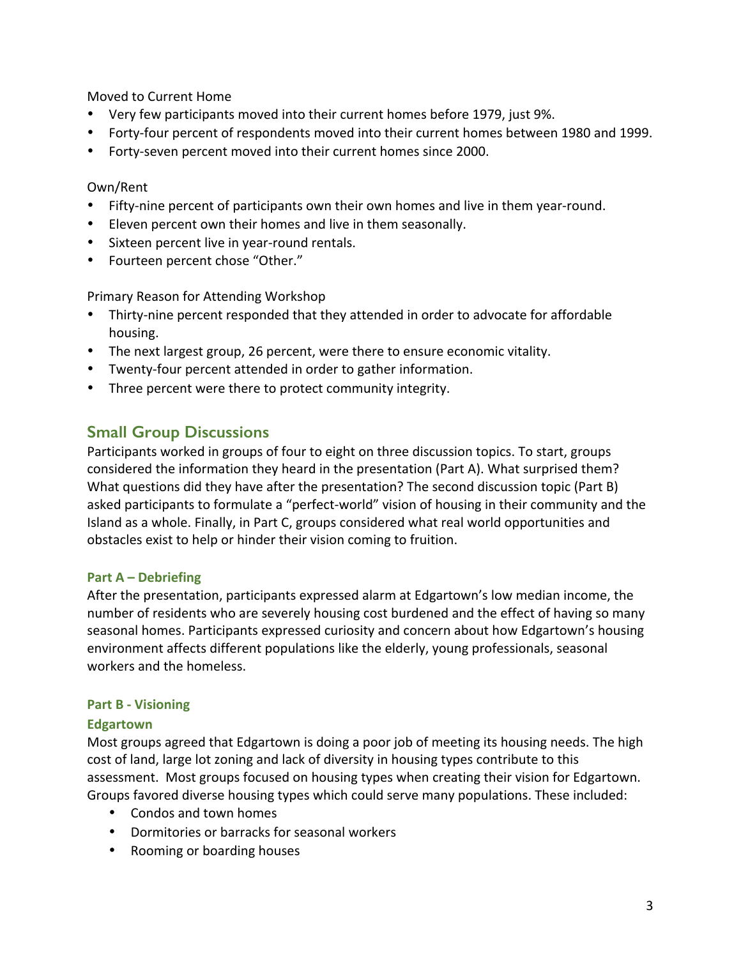Moved to Current Home

- Very few participants moved into their current homes before 1979, just 9%.
- Forty-four percent of respondents moved into their current homes between 1980 and 1999.
- Forty-seven percent moved into their current homes since 2000.

### Own/Rent

- Fifty-nine percent of participants own their own homes and live in them year-round.
- Eleven percent own their homes and live in them seasonally.
- Sixteen percent live in year-round rentals.
- Fourteen percent chose "Other."

Primary Reason for Attending Workshop

- Thirty-nine percent responded that they attended in order to advocate for affordable housing.
- The next largest group, 26 percent, were there to ensure economic vitality.
- Twenty-four percent attended in order to gather information.
- Three percent were there to protect community integrity.

### **Small Group Discussions**

Participants worked in groups of four to eight on three discussion topics. To start, groups considered the information they heard in the presentation (Part A). What surprised them? What questions did they have after the presentation? The second discussion topic (Part B) asked participants to formulate a "perfect-world" vision of housing in their community and the Island as a whole. Finally, in Part C, groups considered what real world opportunities and obstacles exist to help or hinder their vision coming to fruition.

### **Part A – Debriefing**

After the presentation, participants expressed alarm at Edgartown's low median income, the number of residents who are severely housing cost burdened and the effect of having so many seasonal homes. Participants expressed curiosity and concern about how Edgartown's housing environment affects different populations like the elderly, young professionals, seasonal workers and the homeless.

### **Part B - Visioning**

### **Edgartown**

Most groups agreed that Edgartown is doing a poor job of meeting its housing needs. The high cost of land, large lot zoning and lack of diversity in housing types contribute to this assessment. Most groups focused on housing types when creating their vision for Edgartown. Groups favored diverse housing types which could serve many populations. These included:

- Condos and town homes
- Dormitories or barracks for seasonal workers
- Rooming or boarding houses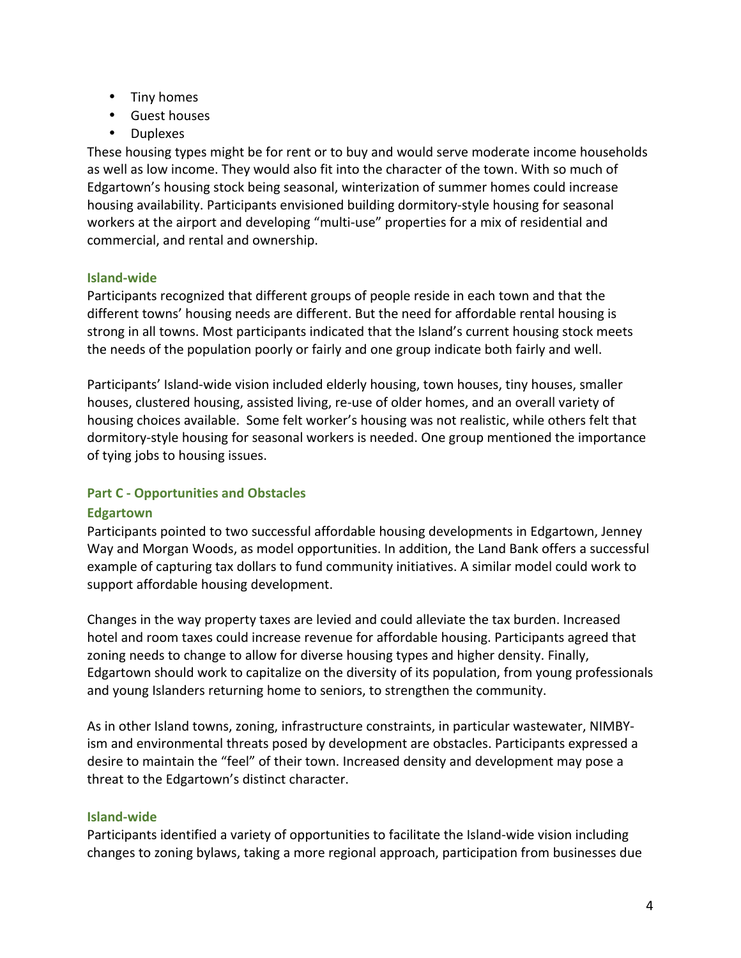- Tiny homes
- Guest houses
- Duplexes

These housing types might be for rent or to buy and would serve moderate income households as well as low income. They would also fit into the character of the town. With so much of Edgartown's housing stock being seasonal, winterization of summer homes could increase housing availability. Participants envisioned building dormitory-style housing for seasonal workers at the airport and developing "multi-use" properties for a mix of residential and commercial, and rental and ownership.

### **Island-wide**

Participants recognized that different groups of people reside in each town and that the different towns' housing needs are different. But the need for affordable rental housing is strong in all towns. Most participants indicated that the Island's current housing stock meets the needs of the population poorly or fairly and one group indicate both fairly and well.

Participants' Island-wide vision included elderly housing, town houses, tiny houses, smaller houses, clustered housing, assisted living, re-use of older homes, and an overall variety of housing choices available. Some felt worker's housing was not realistic, while others felt that dormitory-style housing for seasonal workers is needed. One group mentioned the importance of tying jobs to housing issues.

### **Part C - Opportunities and Obstacles**

### **Edgartown**

Participants pointed to two successful affordable housing developments in Edgartown, Jenney Way and Morgan Woods, as model opportunities. In addition, the Land Bank offers a successful example of capturing tax dollars to fund community initiatives. A similar model could work to support affordable housing development.

Changes in the way property taxes are levied and could alleviate the tax burden. Increased hotel and room taxes could increase revenue for affordable housing. Participants agreed that zoning needs to change to allow for diverse housing types and higher density. Finally, Edgartown should work to capitalize on the diversity of its population, from young professionals and young Islanders returning home to seniors, to strengthen the community.

As in other Island towns, zoning, infrastructure constraints, in particular wastewater, NIMBYism and environmental threats posed by development are obstacles. Participants expressed a desire to maintain the "feel" of their town. Increased density and development may pose a threat to the Edgartown's distinct character.

### **Island-wide**

Participants identified a variety of opportunities to facilitate the Island-wide vision including changes to zoning bylaws, taking a more regional approach, participation from businesses due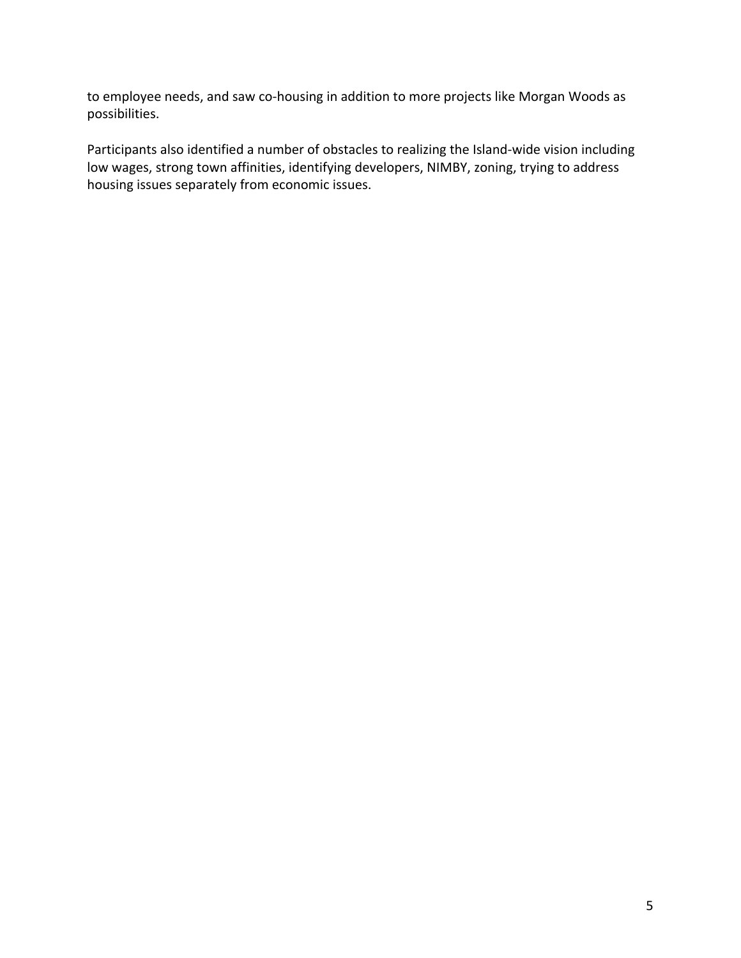to employee needs, and saw co-housing in addition to more projects like Morgan Woods as possibilities. 

Participants also identified a number of obstacles to realizing the Island-wide vision including low wages, strong town affinities, identifying developers, NIMBY, zoning, trying to address housing issues separately from economic issues.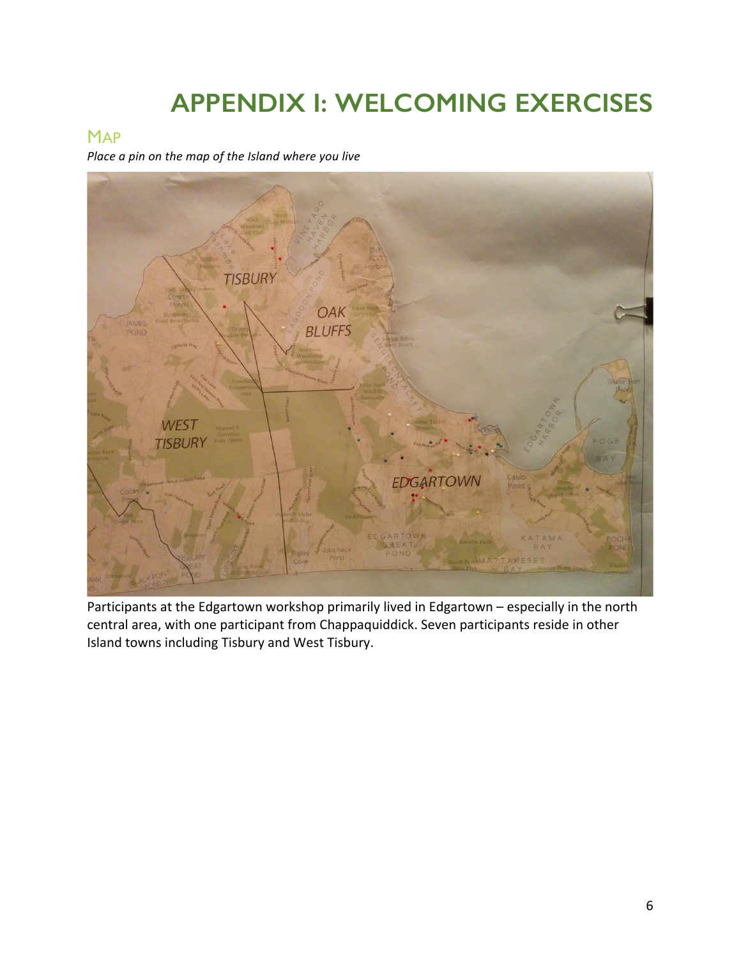# **APPENDIX I: WELCOMING EXERCISES**

## **MAP**

*Place a pin on the map of the Island where you live* 



Participants at the Edgartown workshop primarily lived in Edgartown - especially in the north central area, with one participant from Chappaquiddick. Seven participants reside in other Island towns including Tisbury and West Tisbury.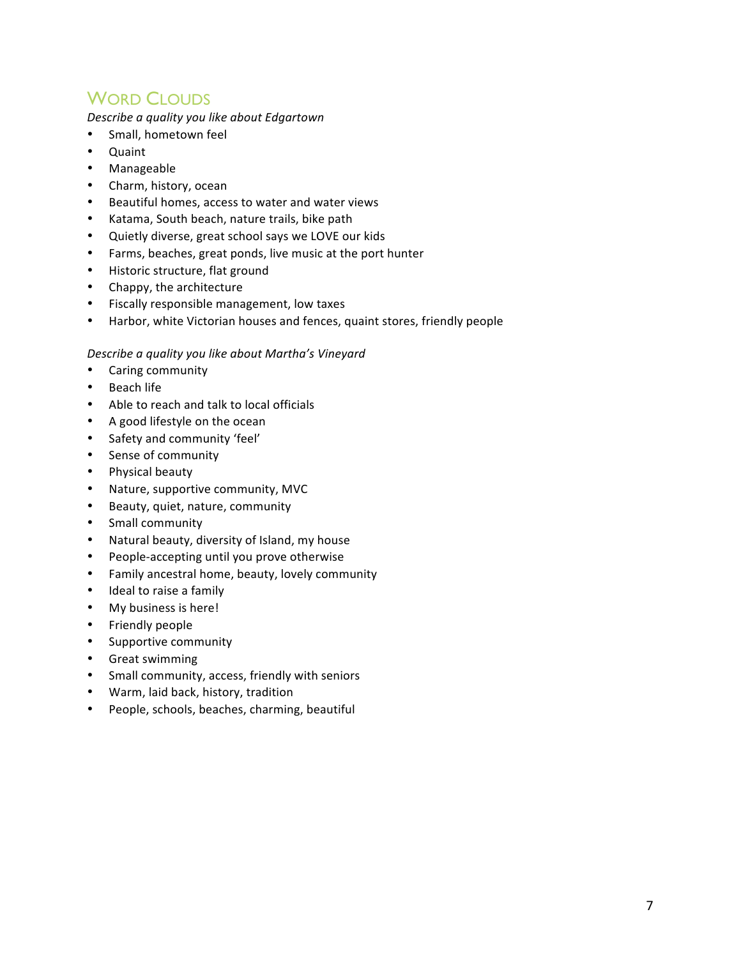# **WORD CLOUDS**

*Describe a quality you like about Edgartown*

- Small, hometown feel
- Quaint
- Manageable
- Charm, history, ocean
- Beautiful homes, access to water and water views
- Katama, South beach, nature trails, bike path
- Quietly diverse, great school says we LOVE our kids
- Farms, beaches, great ponds, live music at the port hunter
- Historic structure, flat ground
- Chappy, the architecture
- Fiscally responsible management, low taxes
- Harbor, white Victorian houses and fences, quaint stores, friendly people

#### *Describe a quality you like about Martha's Vineyard*

- Caring community
- Beach life
- Able to reach and talk to local officials
- A good lifestyle on the ocean
- Safety and community 'feel'
- Sense of community
- Physical beauty
- Nature, supportive community, MVC
- Beauty, quiet, nature, community
- Small community
- Natural beauty, diversity of Island, my house
- People-accepting until you prove otherwise
- Family ancestral home, beauty, lovely community
- Ideal to raise a family
- My business is here!
- Friendly people
- Supportive community
- Great swimming
- Small community, access, friendly with seniors
- Warm, laid back, history, tradition
- People, schools, beaches, charming, beautiful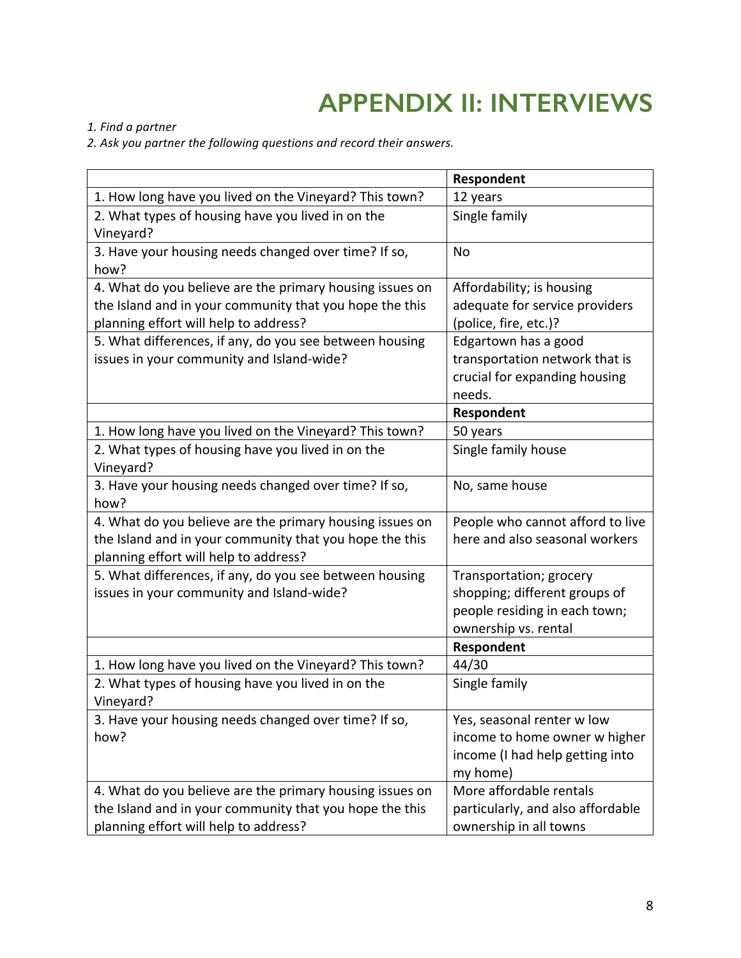# **APPENDIX II: INTERVIEWS**

*1. Find a partner*

2. Ask you partner the following questions and record their answers.

|                                                          | Respondent                        |
|----------------------------------------------------------|-----------------------------------|
| 1. How long have you lived on the Vineyard? This town?   | 12 years                          |
| 2. What types of housing have you lived in on the        | Single family                     |
| Vineyard?                                                |                                   |
| 3. Have your housing needs changed over time? If so,     | No                                |
| how?                                                     |                                   |
| 4. What do you believe are the primary housing issues on | Affordability; is housing         |
| the Island and in your community that you hope the this  | adequate for service providers    |
| planning effort will help to address?                    | (police, fire, etc.)?             |
| 5. What differences, if any, do you see between housing  | Edgartown has a good              |
| issues in your community and Island-wide?                | transportation network that is    |
|                                                          | crucial for expanding housing     |
|                                                          | needs.                            |
|                                                          | Respondent                        |
| 1. How long have you lived on the Vineyard? This town?   | 50 years                          |
| 2. What types of housing have you lived in on the        | Single family house               |
| Vineyard?                                                |                                   |
| 3. Have your housing needs changed over time? If so,     | No, same house                    |
| how?                                                     |                                   |
| 4. What do you believe are the primary housing issues on | People who cannot afford to live  |
| the Island and in your community that you hope the this  | here and also seasonal workers    |
| planning effort will help to address?                    |                                   |
| 5. What differences, if any, do you see between housing  | Transportation; grocery           |
| issues in your community and Island-wide?                | shopping; different groups of     |
|                                                          | people residing in each town;     |
|                                                          | ownership vs. rental              |
|                                                          | Respondent                        |
| 1. How long have you lived on the Vineyard? This town?   | 44/30                             |
| 2. What types of housing have you lived in on the        | Single family                     |
| Vineyard?                                                |                                   |
| 3. Have your housing needs changed over time? If so,     | Yes, seasonal renter w low        |
| how?                                                     | income to home owner w higher     |
|                                                          | income (I had help getting into   |
|                                                          | my home)                          |
| 4. What do you believe are the primary housing issues on | More affordable rentals           |
| the Island and in your community that you hope the this  | particularly, and also affordable |
| planning effort will help to address?                    | ownership in all towns            |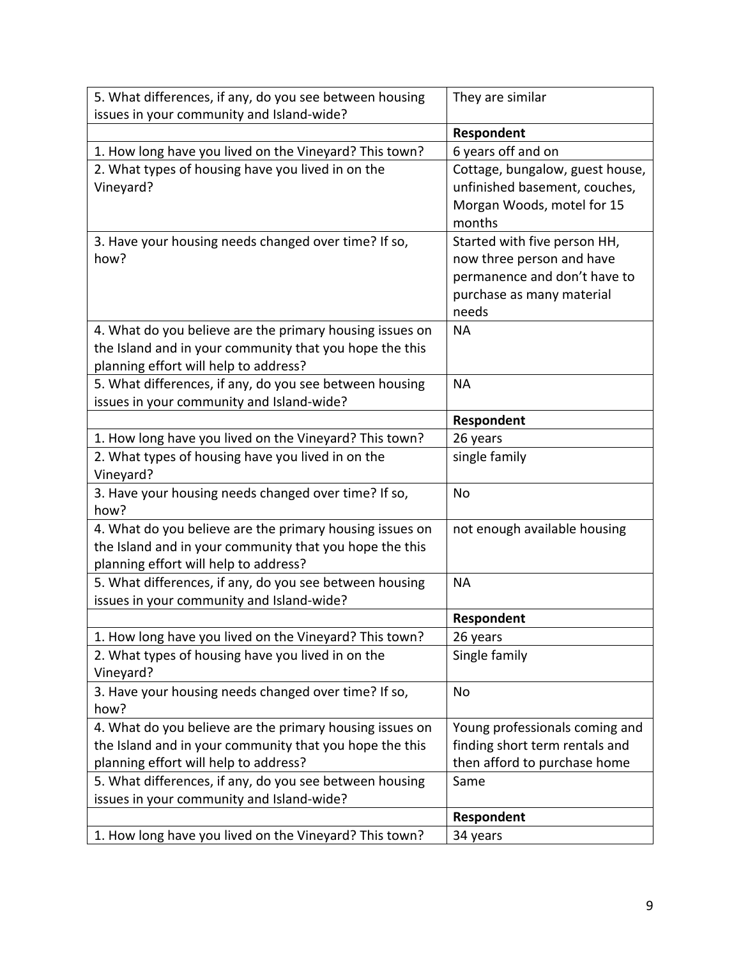| 5. What differences, if any, do you see between housing  | They are similar                |
|----------------------------------------------------------|---------------------------------|
| issues in your community and Island-wide?                |                                 |
|                                                          | Respondent                      |
| 1. How long have you lived on the Vineyard? This town?   | 6 years off and on              |
| 2. What types of housing have you lived in on the        | Cottage, bungalow, guest house, |
| Vineyard?                                                | unfinished basement, couches,   |
|                                                          | Morgan Woods, motel for 15      |
|                                                          | months                          |
| 3. Have your housing needs changed over time? If so,     | Started with five person HH,    |
| how?                                                     | now three person and have       |
|                                                          | permanence and don't have to    |
|                                                          | purchase as many material       |
|                                                          | needs                           |
| 4. What do you believe are the primary housing issues on | <b>NA</b>                       |
| the Island and in your community that you hope the this  |                                 |
| planning effort will help to address?                    |                                 |
| 5. What differences, if any, do you see between housing  | <b>NA</b>                       |
| issues in your community and Island-wide?                |                                 |
|                                                          | Respondent                      |
| 1. How long have you lived on the Vineyard? This town?   | 26 years                        |
| 2. What types of housing have you lived in on the        | single family                   |
| Vineyard?                                                |                                 |
| 3. Have your housing needs changed over time? If so,     | No                              |
| how?                                                     |                                 |
| 4. What do you believe are the primary housing issues on | not enough available housing    |
| the Island and in your community that you hope the this  |                                 |
| planning effort will help to address?                    |                                 |
| 5. What differences, if any, do you see between housing  | <b>NA</b>                       |
| issues in your community and Island-wide?                |                                 |
|                                                          | Respondent                      |
| 1. How long have you lived on the Vineyard? This town?   | 26 years                        |
| 2. What types of housing have you lived in on the        | Single family                   |
| Vineyard?                                                |                                 |
| 3. Have your housing needs changed over time? If so,     | No                              |
| how?                                                     |                                 |
| 4. What do you believe are the primary housing issues on | Young professionals coming and  |
| the Island and in your community that you hope the this  | finding short term rentals and  |
| planning effort will help to address?                    | then afford to purchase home    |
| 5. What differences, if any, do you see between housing  | Same                            |
| issues in your community and Island-wide?                |                                 |
|                                                          | Respondent                      |
| 1. How long have you lived on the Vineyard? This town?   | 34 years                        |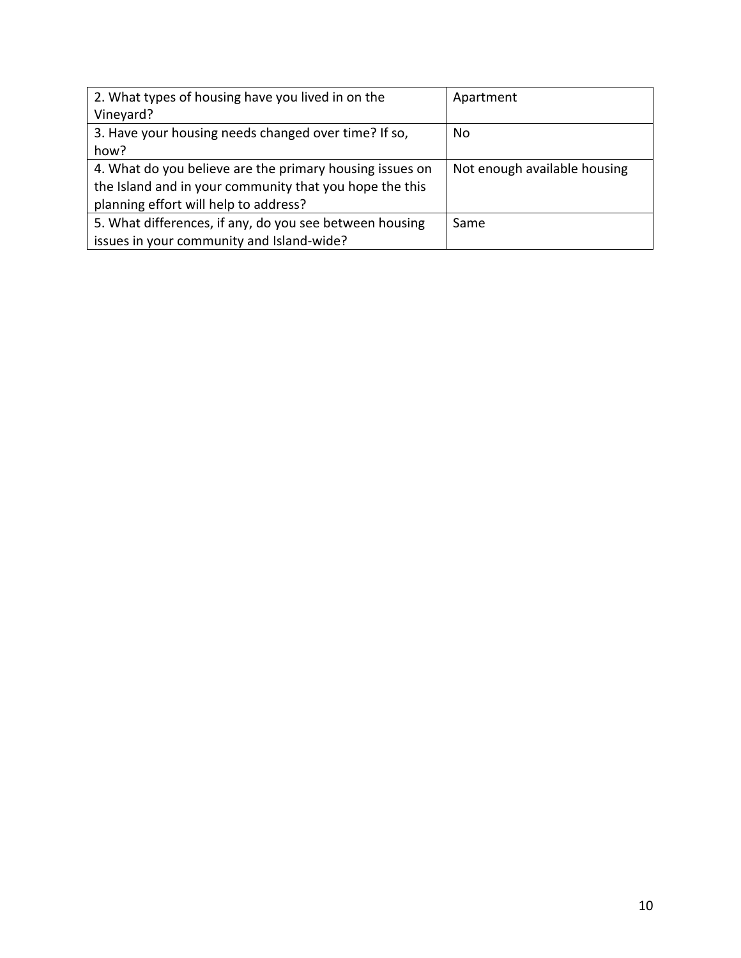| 2. What types of housing have you lived in on the               | Apartment                    |
|-----------------------------------------------------------------|------------------------------|
| Vineyard?                                                       |                              |
| 3. Have your housing needs changed over time? If so,            | No.                          |
| how?                                                            |                              |
| 4. What do you believe are the primary housing issues on        | Not enough available housing |
| the Island and in your community that you hope the this         |                              |
| planning effort will help to address?                           |                              |
| 5. What differences, if any, do you see between housing<br>Same |                              |
| issues in your community and Island-wide?                       |                              |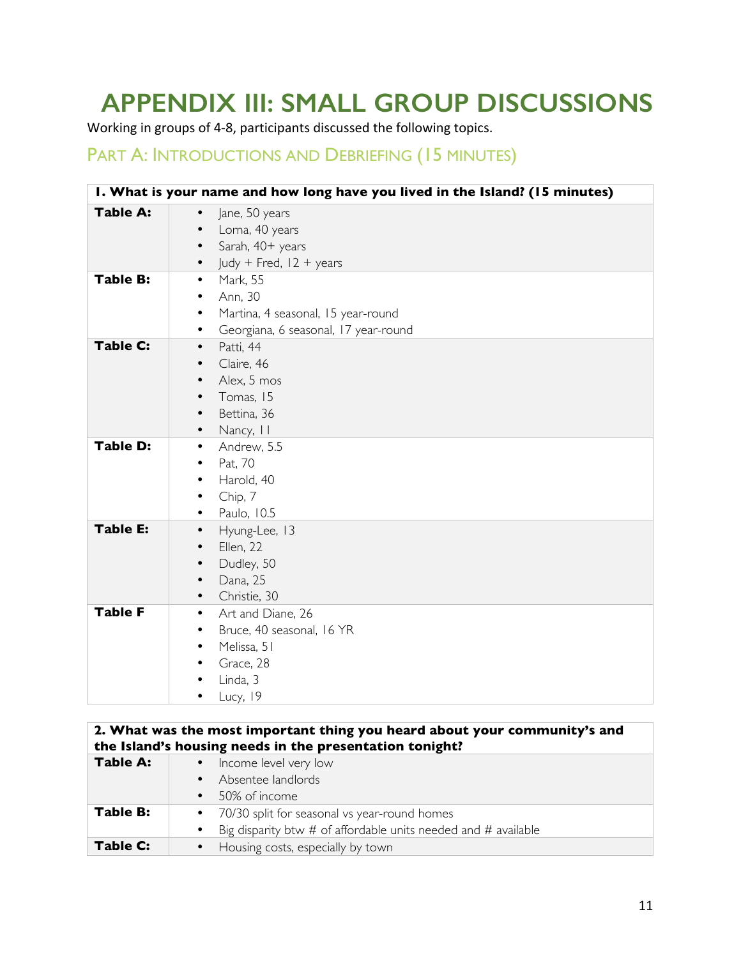# **APPENDIX III: SMALL GROUP DISCUSSIONS**

Working in groups of 4-8, participants discussed the following topics.

## PART A: INTRODUCTIONS AND DEBRIEFING (15 MINUTES)

| I. What is your name and how long have you lived in the Island? (15 minutes) |                                                                                                                                        |
|------------------------------------------------------------------------------|----------------------------------------------------------------------------------------------------------------------------------------|
| <b>Table A:</b>                                                              | Jane, 50 years<br>$\bullet$<br>Lorna, 40 years<br>$\bullet$<br>Sarah, 40+ years<br>Judy + Fred, $12 + \text{years}$<br>$\bullet$       |
| <b>Table B:</b>                                                              | Mark, 55<br>$\bullet$<br>Ann, 30<br>٠<br>Martina, 4 seasonal, 15 year-round<br>$\bullet$<br>Georgiana, 6 seasonal, 17 year-round<br>٠  |
| <b>Table C:</b>                                                              | Patti, 44<br>$\bullet$<br>Claire, 46<br>٠<br>Alex, 5 mos<br>$\bullet$<br>Tomas, 15<br>$\bullet$<br>Bettina, 36<br>٠<br>Nancy, II<br>٠  |
| <b>Table D:</b>                                                              | Andrew, 5.5<br>$\bullet$<br>Pat, 70<br>$\bullet$<br>Harold, 40<br>$\bullet$<br>Chip, 7<br>٠<br>Paulo, 10.5                             |
| <b>Table E:</b>                                                              | Hyung-Lee, 13<br>$\bullet$<br>Ellen, 22<br>$\bullet$<br>Dudley, 50<br>$\bullet$<br>Dana, 25<br>$\bullet$<br>Christie, 30<br>$\bullet$  |
| <b>Table F</b>                                                               | Art and Diane, 26<br>$\bullet$<br>Bruce, 40 seasonal, 16 YR<br>$\bullet$<br>Melissa, 51<br>٠<br>Grace, 28<br>٠<br>Linda, 3<br>Lucy, 19 |

### **2. What was the most important thing you heard about your community's and the Island's housing needs in the presentation tonight?**

| Table A: | • Income level very low                                            |
|----------|--------------------------------------------------------------------|
|          | Absentee landlords                                                 |
|          | 50% of income                                                      |
| Table B: | • 70/30 split for seasonal vs year-round homes                     |
|          | Big disparity btw $#$ of affordable units needed and $#$ available |
| Table C: | • Housing costs, especially by town                                |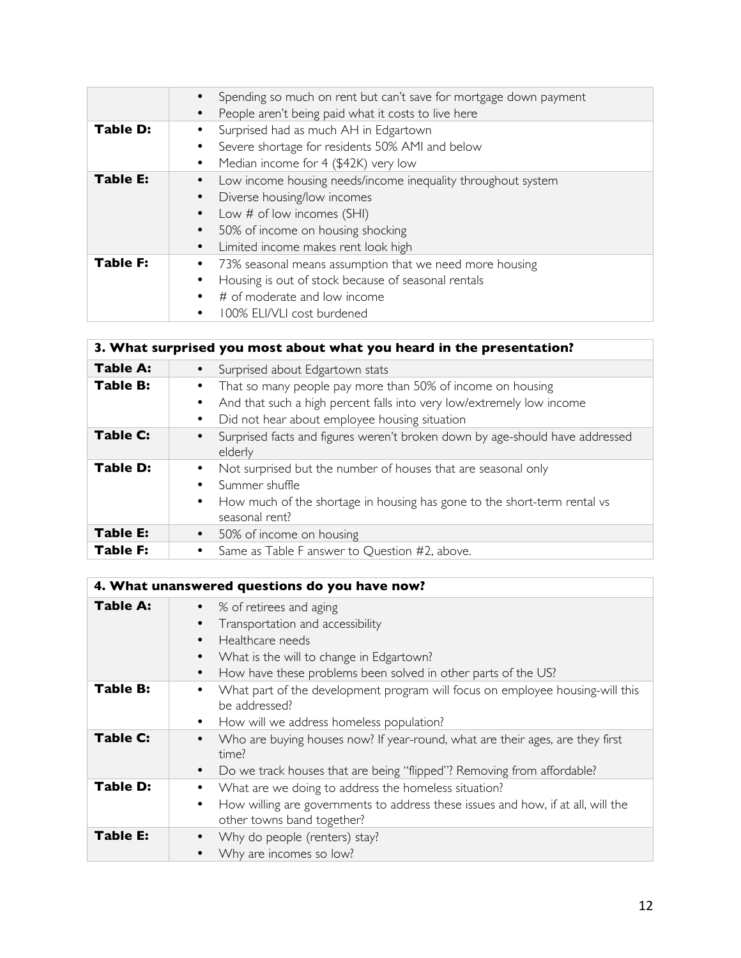|                 | Spending so much on rent but can't save for mortgage down payment<br>People aren't being paid what it costs to live here<br>$\bullet$                                                                 |
|-----------------|-------------------------------------------------------------------------------------------------------------------------------------------------------------------------------------------------------|
| <b>Table D:</b> | Surprised had as much AH in Edgartown<br>Severe shortage for residents 50% AMI and below<br>Median income for 4 (\$42K) very low<br>$\bullet$                                                         |
| <b>Table E:</b> | Low income housing needs/income inequality throughout system<br>Diverse housing/low incomes<br>Low # of low incomes (SHI)<br>50% of income on housing shocking<br>Limited income makes rent look high |
| <b>Table F:</b> | 73% seasonal means assumption that we need more housing<br>Housing is out of stock because of seasonal rentals<br># of moderate and low income<br>100% ELI/VLI cost burdened                          |

| 3. What surprised you most about what you heard in the presentation? |                                                                                                                                                                                                   |
|----------------------------------------------------------------------|---------------------------------------------------------------------------------------------------------------------------------------------------------------------------------------------------|
| <b>Table A:</b>                                                      | Surprised about Edgartown stats                                                                                                                                                                   |
| <b>Table B:</b>                                                      | That so many people pay more than 50% of income on housing<br>And that such a high percent falls into very low/extremely low income<br>Did not hear about employee housing situation<br>$\bullet$ |
| <b>Table C:</b>                                                      | Surprised facts and figures weren't broken down by age-should have addressed<br>elderly                                                                                                           |
| <b>Table D:</b>                                                      | Not surprised but the number of houses that are seasonal only<br>Summer shuffle<br>How much of the shortage in housing has gone to the short-term rental vs<br>$\bullet$<br>seasonal rent?        |
| <b>Table E:</b>                                                      | • 50% of income on housing                                                                                                                                                                        |
| <b>Table F:</b>                                                      | Same as Table F answer to Question #2, above.<br>$\bullet$                                                                                                                                        |

| 4. What unanswered questions do you have now? |                                                                                                                                                                                              |
|-----------------------------------------------|----------------------------------------------------------------------------------------------------------------------------------------------------------------------------------------------|
| <b>Table A:</b>                               | % of retirees and aging<br>Transportation and accessibility<br>Healthcare needs<br>What is the will to change in Edgartown?<br>How have these problems been solved in other parts of the US? |
| <b>Table B:</b>                               | What part of the development program will focus on employee housing-will this<br>be addressed?<br>How will we address homeless population?                                                   |
| Table C:                                      | Who are buying houses now? If year-round, what are their ages, are they first<br>time?<br>Do we track houses that are being "flipped"? Removing from affordable?                             |
| Table D:                                      | What are we doing to address the homeless situation?<br>How willing are governments to address these issues and how, if at all, will the<br>other towns band together?                       |
| <b>Table E:</b>                               | Why do people (renters) stay?<br>Why are incomes so low?                                                                                                                                     |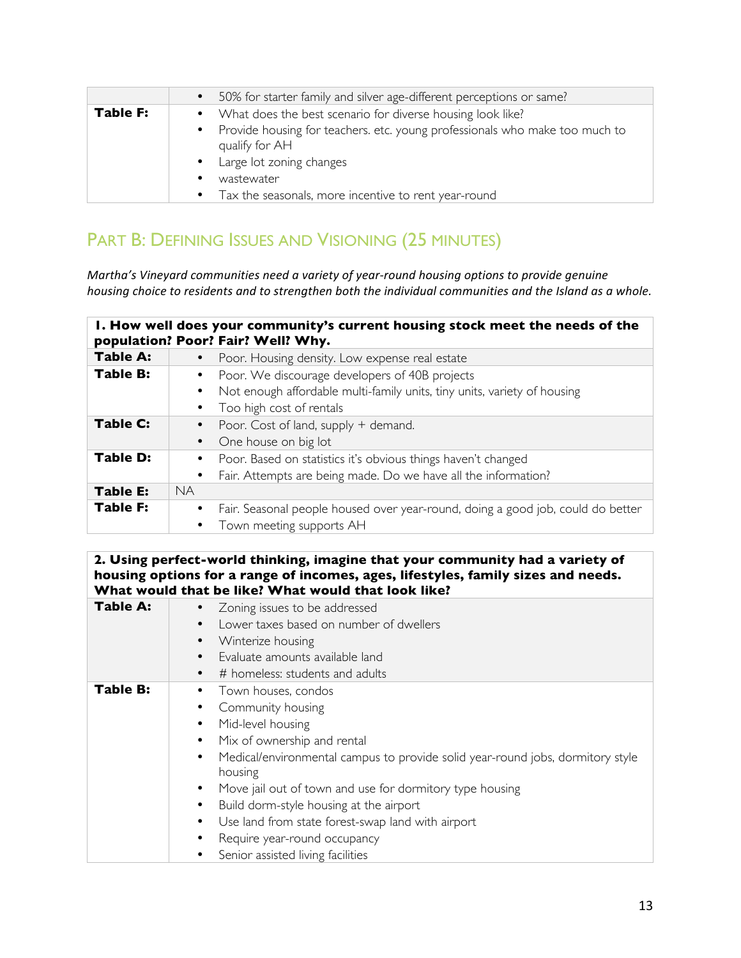|          | • 50% for starter family and silver age-different perceptions or same?                          |
|----------|-------------------------------------------------------------------------------------------------|
| Table F: | • What does the best scenario for diverse housing look like?                                    |
|          | • Provide housing for teachers. etc. young professionals who make too much to<br>qualify for AH |
|          | • Large lot zoning changes                                                                      |
|          | wastewater                                                                                      |
|          | Tax the seasonals, more incentive to rent year-round<br>$\bullet$                               |

# PART B: DEFINING ISSUES AND VISIONING (25 MINUTES)

*Martha's Vineyard communities need a variety of year-round housing options to provide genuine housing* choice to residents and to strengthen both the individual communities and the Island as a whole.

| I. How well does your community's current housing stock meet the needs of the<br>population? Poor? Fair? Well? Why. |                                                                                 |
|---------------------------------------------------------------------------------------------------------------------|---------------------------------------------------------------------------------|
| <b>Table A:</b>                                                                                                     | Poor. Housing density. Low expense real estate                                  |
| <b>Table B:</b>                                                                                                     | Poor. We discourage developers of 40B projects                                  |
|                                                                                                                     | Not enough affordable multi-family units, tiny units, variety of housing        |
|                                                                                                                     | Too high cost of rentals                                                        |
| Table C:                                                                                                            | Poor. Cost of land, supply + demand.                                            |
|                                                                                                                     | One house on big lot                                                            |
| <b>Table D:</b>                                                                                                     | Poor. Based on statistics it's obvious things haven't changed                   |
|                                                                                                                     | Fair. Attempts are being made. Do we have all the information?<br>$\bullet$     |
| Table E:                                                                                                            | <b>NA</b>                                                                       |
| <b>Table F:</b>                                                                                                     | Fair. Seasonal people housed over year-round, doing a good job, could do better |
|                                                                                                                     | Town meeting supports AH                                                        |

#### **2. Using perfect-world thinking, imagine that your community had a variety of housing options for a range of incomes, ages, lifestyles, family sizes and needs. What would that be like? What would that look like?**

| <b>Table A:</b> | Zoning issues to be addressed                                                  |
|-----------------|--------------------------------------------------------------------------------|
|                 | Lower taxes based on number of dwellers                                        |
|                 | Winterize housing                                                              |
|                 | Evaluate amounts available land                                                |
|                 | # homeless: students and adults                                                |
| <b>Table B:</b> | Town houses, condos                                                            |
|                 | Community housing                                                              |
|                 | Mid-level housing                                                              |
|                 | Mix of ownership and rental                                                    |
|                 | Medical/environmental campus to provide solid year-round jobs, dormitory style |
|                 | housing                                                                        |
|                 | Move jail out of town and use for dormitory type housing                       |
|                 | Build dorm-style housing at the airport                                        |
|                 | Use land from state forest-swap land with airport                              |
|                 | Require year-round occupancy                                                   |
|                 | Senior assisted living facilities                                              |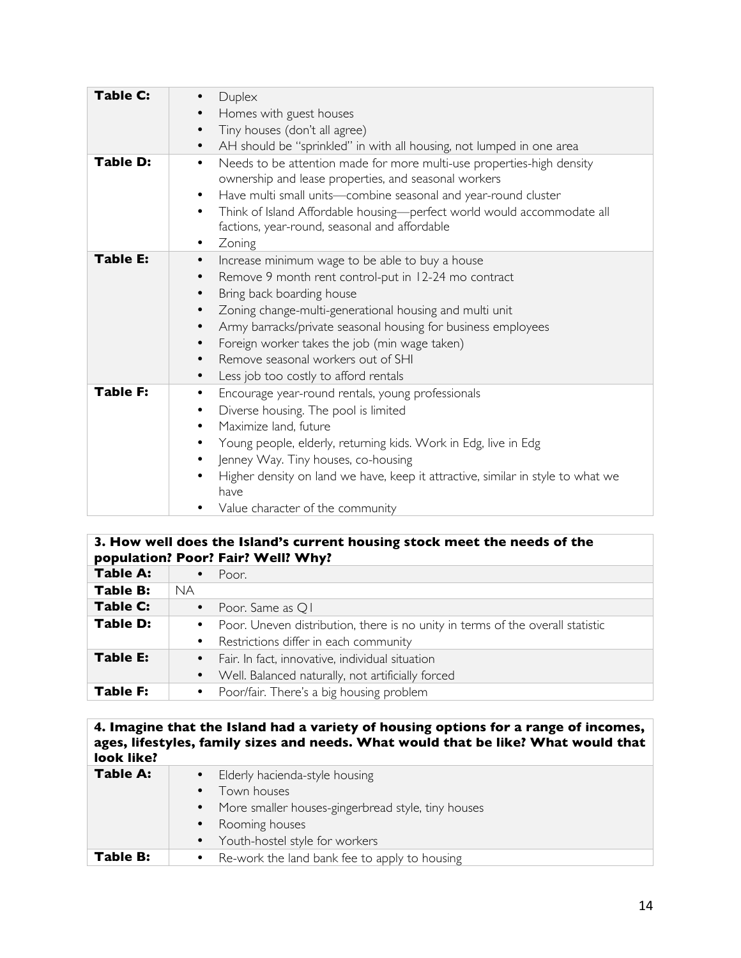| <b>Table C:</b><br><b>Table D:</b> | Duplex<br>Homes with guest houses<br>Tiny houses (don't all agree)<br>$\bullet$<br>AH should be "sprinkled" in with all housing, not lumped in one area<br>$\bullet$<br>Needs to be attention made for more multi-use properties-high density<br>$\bullet$                                                                                                                                                                                   |
|------------------------------------|----------------------------------------------------------------------------------------------------------------------------------------------------------------------------------------------------------------------------------------------------------------------------------------------------------------------------------------------------------------------------------------------------------------------------------------------|
|                                    | ownership and lease properties, and seasonal workers<br>Have multi small units-combine seasonal and year-round cluster<br>$\bullet$<br>Think of Island Affordable housing-perfect world would accommodate all<br>$\bullet$<br>factions, year-round, seasonal and affordable<br>Zoning<br>$\bullet$                                                                                                                                           |
| <b>Table E:</b>                    | Increase minimum wage to be able to buy a house<br>$\bullet$<br>Remove 9 month rent control-put in 12-24 mo contract<br>Bring back boarding house<br>Zoning change-multi-generational housing and multi unit<br>$\bullet$<br>Army barracks/private seasonal housing for business employees<br>$\bullet$<br>Foreign worker takes the job (min wage taken)<br>Remove seasonal workers out of SHI<br>Less job too costly to afford rentals<br>٠ |
| <b>Table F:</b>                    | Encourage year-round rentals, young professionals<br>٠<br>Diverse housing. The pool is limited<br>$\bullet$<br>Maximize land, future<br>$\bullet$<br>Young people, elderly, returning kids. Work in Edg, live in Edg<br>$\bullet$<br>Jenney Way. Tiny houses, co-housing<br>$\bullet$<br>Higher density on land we have, keep it attractive, similar in style to what we<br>have<br>Value character of the community                         |

### **3. How well does the Island's current housing stock meet the needs of the population? Poor? Fair? Well? Why?**

|                 | $P = P$ and signal interests in the set of $P$ is the state $P$                                                             |
|-----------------|-----------------------------------------------------------------------------------------------------------------------------|
| <b>Table A:</b> | Poor.                                                                                                                       |
| <b>Table B:</b> | <b>NA</b>                                                                                                                   |
| <b>Table C:</b> | Poor. Same as Q1<br>$\bullet$                                                                                               |
| <b>Table D:</b> | • Poor. Uneven distribution, there is no unity in terms of the overall statistic<br>• Restrictions differ in each community |
| <b>Table E:</b> | • Fair. In fact, innovative, individual situation<br>Well. Balanced naturally, not artificially forced<br>$\bullet$         |
| <b>Table F:</b> | Poor/fair. There's a big housing problem<br>$\bullet$                                                                       |

### **4. Imagine that the Island had a variety of housing options for a range of incomes, ages, lifestyles, family sizes and needs. What would that be like? What would that look like?**

| Table A: | • Elderly hacienda-style housing                                |
|----------|-----------------------------------------------------------------|
|          | Town houses                                                     |
|          | More smaller houses-gingerbread style, tiny houses<br>$\bullet$ |
|          | • Rooming houses                                                |
|          | • Youth-hostel style for workers                                |
| Table B: | Re-work the land bank fee to apply to housing                   |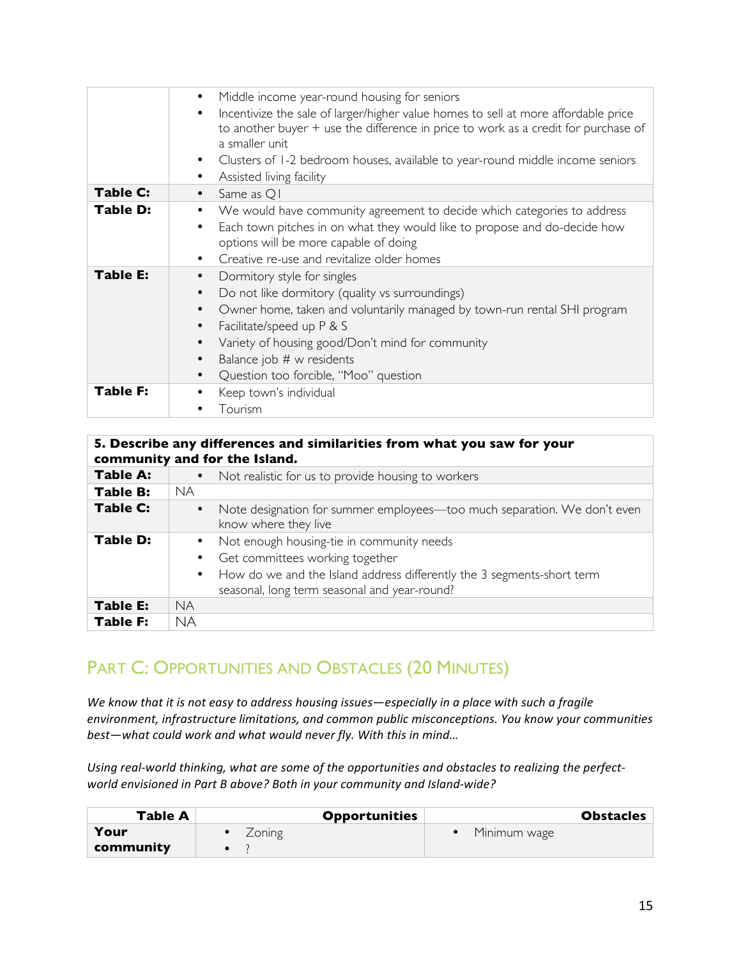|                 | Middle income year-round housing for seniors<br>$\bullet$                                                                                                                                                                                                                                                                                                |
|-----------------|----------------------------------------------------------------------------------------------------------------------------------------------------------------------------------------------------------------------------------------------------------------------------------------------------------------------------------------------------------|
|                 | Incentivize the sale of larger/higher value homes to sell at more affordable price<br>to another buyer + use the difference in price to work as a credit for purchase of<br>a smaller unit<br>Clusters of 1-2 bedroom houses, available to year-round middle income seniors<br>$\bullet$                                                                 |
|                 | Assisted living facility<br>٠                                                                                                                                                                                                                                                                                                                            |
| Table C:        | Same as Q1<br>$\bullet$                                                                                                                                                                                                                                                                                                                                  |
| Table D:        | We would have community agreement to decide which categories to address<br>Each town pitches in on what they would like to propose and do-decide how<br>options will be more capable of doing<br>Creative re-use and revitalize older homes<br>$\bullet$                                                                                                 |
| <b>Table E:</b> | Dormitory style for singles<br>$\bullet$<br>Do not like dormitory (quality vs surroundings)<br>$\bullet$<br>Owner home, taken and voluntarily managed by town-run rental SHI program<br>$\bullet$<br>Facilitate/speed up P & S<br>Variety of housing good/Don't mind for community<br>Balance job # w residents<br>Question too forcible, "Moo" question |
| <b>Table F:</b> | Keep town's individual<br>Tourism                                                                                                                                                                                                                                                                                                                        |

| 5. Describe any differences and similarities from what you saw for your<br>community and for the Island. |                                                                                                                                                                                                          |  |
|----------------------------------------------------------------------------------------------------------|----------------------------------------------------------------------------------------------------------------------------------------------------------------------------------------------------------|--|
| Table A:                                                                                                 | Not realistic for us to provide housing to workers                                                                                                                                                       |  |
| Table B:                                                                                                 | <b>NA</b>                                                                                                                                                                                                |  |
| <b>Table C:</b>                                                                                          | Note designation for summer employees—too much separation. We don't even<br>know where they live                                                                                                         |  |
| <b>Table D:</b>                                                                                          | • Not enough housing-tie in community needs<br>Get committees working together<br>How do we and the Island address differently the 3 segments-short term<br>seasonal, long term seasonal and year-round? |  |
| <b>Table E:</b>                                                                                          | <b>NA</b>                                                                                                                                                                                                |  |
| <b>Table F:</b>                                                                                          | <b>NA</b>                                                                                                                                                                                                |  |

# PART C: OPPORTUNITIES AND OBSTACLES (20 MINUTES)

We know that it is not easy to address housing issues-especially in a place with such a fragile environment, infrastructure limitations, and common public misconceptions. You know your communities *best-what could work and what would never fly. With this in mind...* 

Using real-world thinking, what are some of the opportunities and obstacles to realizing the perfect*world envisioned in Part B above? Both in your community and Island-wide?* 

| Table A   | <b>Opportunities</b> | <b>Obstacles</b> |
|-----------|----------------------|------------------|
| Your      | Zoning               | Minimum wage     |
| community |                      |                  |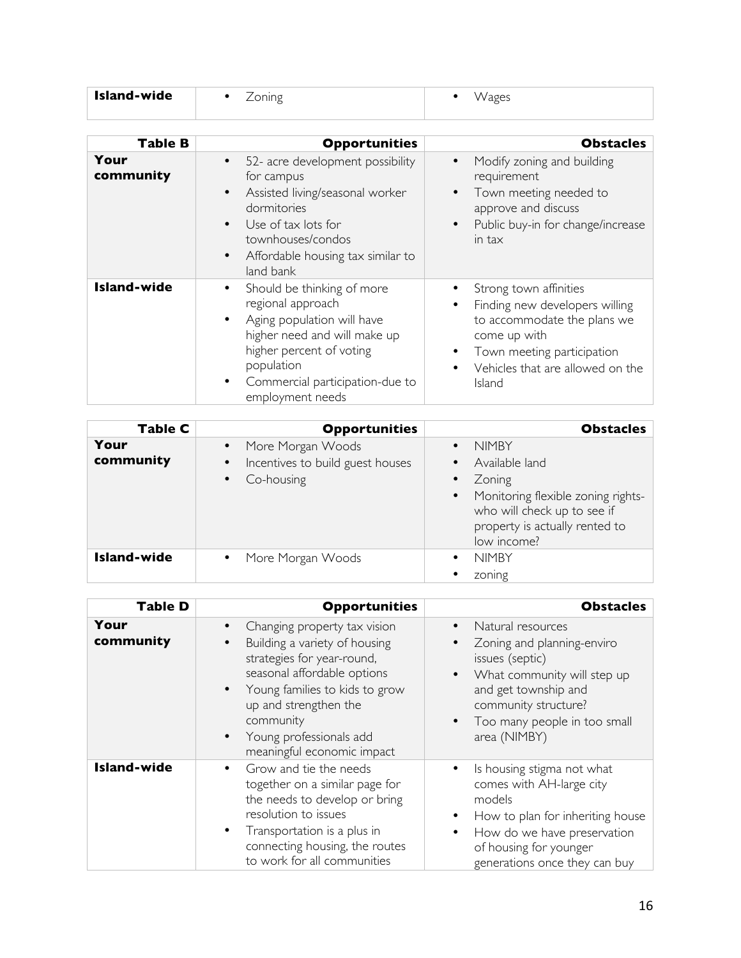| Island-wide |  |  |
|-------------|--|--|
|             |  |  |

| Table B            | <b>Opportunities</b>                                                                                                                                                                                                                               | <b>Obstacles</b>                                                                                                                                                                         |
|--------------------|----------------------------------------------------------------------------------------------------------------------------------------------------------------------------------------------------------------------------------------------------|------------------------------------------------------------------------------------------------------------------------------------------------------------------------------------------|
| Your<br>community  | 52- acre development possibility<br>$\bullet$<br>for campus<br>Assisted living/seasonal worker<br>$\bullet$<br>dormitories<br>Use of tax lots for<br>$\bullet$<br>townhouses/condos<br>Affordable housing tax similar to<br>$\bullet$<br>land bank | Modify zoning and building<br>$\bullet$<br>requirement<br>Town meeting needed to<br>approve and discuss<br>Public buy-in for change/increase<br>$\bullet$<br>in tax                      |
| <b>Island-wide</b> | Should be thinking of more<br>٠<br>regional approach<br>Aging population will have<br>$\bullet$<br>higher need and will make up<br>higher percent of voting<br>population<br>Commercial participation-due to<br>$\bullet$<br>employment needs      | Strong town affinities<br>Finding new developers willing<br>٠<br>to accommodate the plans we<br>come up with<br>Town meeting participation<br>Vehicles that are allowed on the<br>Island |

| Table C           | <b>Opportunities</b>                                                                                       | <b>Obstacles</b>                                                                                                                                                                                                   |
|-------------------|------------------------------------------------------------------------------------------------------------|--------------------------------------------------------------------------------------------------------------------------------------------------------------------------------------------------------------------|
| Your<br>community | More Morgan Woods<br>$\bullet$<br>Incentives to build guest houses<br>$\bullet$<br>Co-housing<br>$\bullet$ | <b>NIMBY</b><br>$\bullet$<br>Available land<br>$\bullet$<br>Zoning<br>$\bullet$<br>Monitoring flexible zoning rights-<br>$\bullet$<br>who will check up to see if<br>property is actually rented to<br>low income? |
| Island-wide       | More Morgan Woods<br>$\bullet$                                                                             | <b>NIMBY</b><br>$\bullet$<br>zoning                                                                                                                                                                                |

| <b>Table D</b>     | <b>Opportunities</b>                                                                                                                                                                                                                                                                               | <b>Obstacles</b>                                                                                                                                                                                                                                      |
|--------------------|----------------------------------------------------------------------------------------------------------------------------------------------------------------------------------------------------------------------------------------------------------------------------------------------------|-------------------------------------------------------------------------------------------------------------------------------------------------------------------------------------------------------------------------------------------------------|
| Your<br>community  | Changing property tax vision<br>$\bullet$<br>Building a variety of housing<br>strategies for year-round,<br>seasonal affordable options<br>Young families to kids to grow<br>$\bullet$<br>up and strengthen the<br>community<br>Young professionals add<br>$\bullet$<br>meaningful economic impact | Natural resources<br>$\bullet$<br>Zoning and planning-enviro<br>$\bullet$<br>issues (septic)<br>What community will step up<br>$\bullet$<br>and get township and<br>community structure?<br>Too many people in too small<br>$\bullet$<br>area (NIMBY) |
| <b>Island-wide</b> | Grow and tie the needs<br>$\bullet$<br>together on a similar page for<br>the needs to develop or bring<br>resolution to issues<br>Transportation is a plus in<br>$\bullet$<br>connecting housing, the routes<br>to work for all communities                                                        | Is housing stigma not what<br>$\bullet$<br>comes with AH-large city<br>models<br>How to plan for inheriting house<br>$\bullet$<br>How do we have preservation<br>$\bullet$<br>of housing for younger<br>generations once they can buy                 |